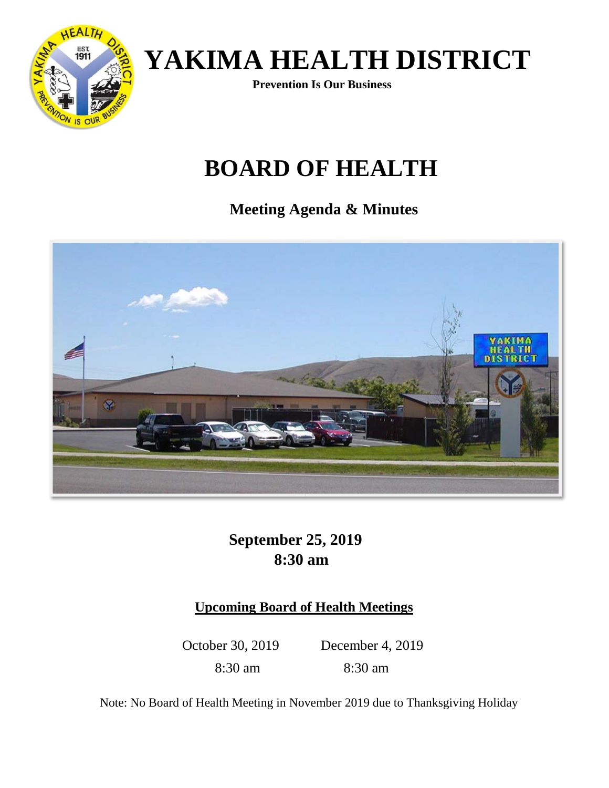**Prevention Is Our Business** 

## **BOARD OF HEALTH**

**Meeting Agenda & Minutes** 



### **September 25, 2019 8:30 am**

#### **Upcoming Board of Health Meetings**

8:30 am 8:30 am

October 30, 2019 December 4, 2019

Note: No Board of Health Meeting in November 2019 due to Thanksgiving Holiday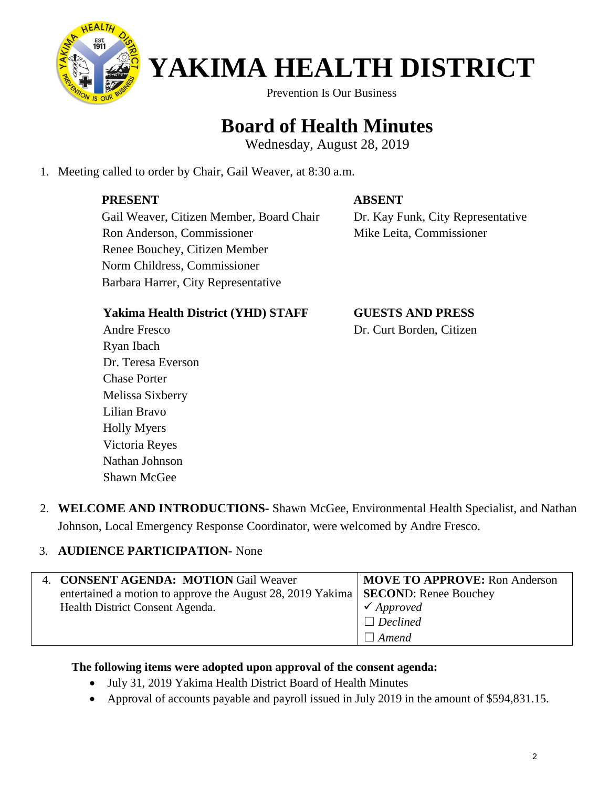

Prevention Is Our Business

## **Board of Health Minutes**

Wednesday, August 28, 2019

1. Meeting called to order by Chair, Gail Weaver, at 8:30 a.m.

#### **PRESENT**

#### **ABSENT**

 Gail Weaver, Citizen Member, Board Chair Ron Anderson, Commissioner Renee Bouchey, Citizen Member Norm Childress, Commissioner Barbara Harrer, City Representative

 Dr. Kay Funk, City Representative Mike Leita, Commissioner

#### **Yakima Health District (YHD) STAFF**

 **GUESTS AND PRESS** Dr. Curt Borden, Citizen

Andre Fresco Ryan Ibach Dr. Teresa Everson Chase Porter Melissa Sixberry Lilian Bravo Holly Myers Victoria Reyes Nathan Johnson Shawn McGee

2. **WELCOME AND INTRODUCTIONS-** Shawn McGee, Environmental Health Specialist, and Nathan Johnson, Local Emergency Response Coordinator, were welcomed by Andre Fresco.

#### 3. **AUDIENCE PARTICIPATION-** None

| 4. CONSENT AGENDA: MOTION Gail Weaver                                                      | <b>MOVE TO APPROVE:</b> Ron Anderson |
|--------------------------------------------------------------------------------------------|--------------------------------------|
| entertained a motion to approve the August 28, 2019 Yakima   <b>SECOND</b> : Renee Bouchey |                                      |
| Health District Consent Agenda.                                                            | $\checkmark$ Approved                |
|                                                                                            | $\Box$ Declined                      |
|                                                                                            | $\Box$ Amend                         |

#### **The following items were adopted upon approval of the consent agenda:**

- July 31, 2019 Yakima Health District Board of Health Minutes
- Approval of accounts payable and payroll issued in July 2019 in the amount of \$594,831.15.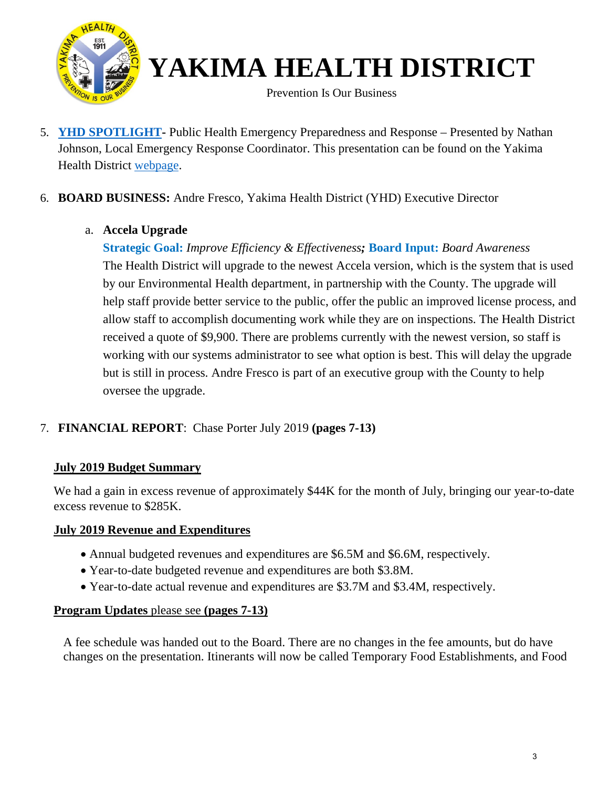

5. **[YHD SPOTLIGHT-](http://yakimacounty.us/DocumentCenter/View/19315/Spotlight-YHD-2018-Accomplishments-and-2019-Goals)** Public Health Emergency Preparedness and Response – Presented by Nathan Johnson, Local Emergency Response Coordinator. This presentation can be found on the Yakima Health District [webpage.](https://yakimacounty.us/1195/Board-of-Health)

#### 6. **BOARD BUSINESS:** Andre Fresco, Yakima Health District (YHD) Executive Director

#### a. **Accela Upgrade**

**Strategic Goal:** *Improve Efficiency & Effectiveness;* **Board Input:** *Board Awareness*  The Health District will upgrade to the newest Accela version, which is the system that is used by our Environmental Health department, in partnership with the County. The upgrade will help staff provide better service to the public, offer the public an improved license process, and allow staff to accomplish documenting work while they are on inspections. The Health District received a quote of \$9,900. There are problems currently with the newest version, so staff is working with our systems administrator to see what option is best. This will delay the upgrade but is still in process. Andre Fresco is part of an executive group with the County to help oversee the upgrade.

#### 7. **FINANCIAL REPORT**: Chase Porter July 2019 **(pages 7-13)**

#### **July 2019 Budget Summary**

We had a gain in excess revenue of approximately \$44K for the month of July, bringing our year-to-date excess revenue to \$285K.

#### **July 2019 Revenue and Expenditures**

- Annual budgeted revenues and expenditures are \$6.5M and \$6.6M, respectively.
- Year-to-date budgeted revenue and expenditures are both \$3.8M.
- Year-to-date actual revenue and expenditures are \$3.7M and \$3.4M, respectively.

#### **Program Updates** please see **(pages 7-13)**

A fee schedule was handed out to the Board. There are no changes in the fee amounts, but do have changes on the presentation. Itinerants will now be called Temporary Food Establishments, and Food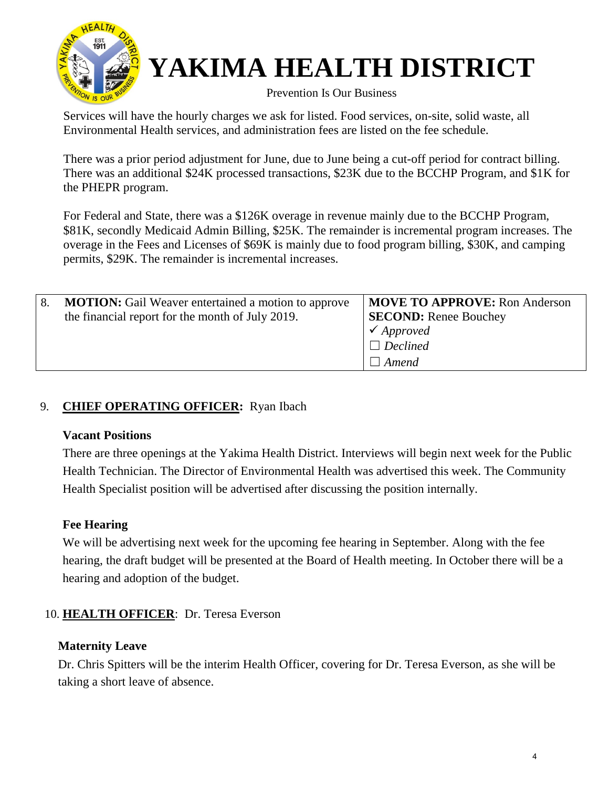

# **YAKIMA HEALTH DISTRICT**<br>Prevention Is Our Business

Services will have the hourly charges we ask for listed. Food services, on-site, solid waste, all Environmental Health services, and administration fees are listed on the fee schedule.

There was a prior period adjustment for June, due to June being a cut-off period for contract billing. There was an additional \$24K processed transactions, \$23K due to the BCCHP Program, and \$1K for the PHEPR program.

For Federal and State, there was a \$126K overage in revenue mainly due to the BCCHP Program, \$81K, secondly Medicaid Admin Billing, \$25K. The remainder is incremental program increases. The overage in the Fees and Licenses of \$69K is mainly due to food program billing, \$30K, and camping permits, \$29K. The remainder is incremental increases.

| <b>MOTION:</b> Gail Weaver entertained a motion to approve<br>8.<br>the financial report for the month of July 2019. | <b>MOVE TO APPROVE:</b> Ron Anderson<br><b>SECOND:</b> Renee Bouchey<br>$\checkmark$ Approved<br>$\Box$ Declined<br>l Amend |
|----------------------------------------------------------------------------------------------------------------------|-----------------------------------------------------------------------------------------------------------------------------|
|----------------------------------------------------------------------------------------------------------------------|-----------------------------------------------------------------------------------------------------------------------------|

#### 9. **CHIEF OPERATING OFFICER:** Ryan Ibach

#### **Vacant Positions**

There are three openings at the Yakima Health District. Interviews will begin next week for the Public Health Technician. The Director of Environmental Health was advertised this week. The Community Health Specialist position will be advertised after discussing the position internally.

#### **Fee Hearing**

We will be advertising next week for the upcoming fee hearing in September. Along with the fee hearing, the draft budget will be presented at the Board of Health meeting. In October there will be a hearing and adoption of the budget.

#### 10. **HEALTH OFFICER**: Dr. Teresa Everson

#### **Maternity Leave**

Dr. Chris Spitters will be the interim Health Officer, covering for Dr. Teresa Everson, as she will be taking a short leave of absence.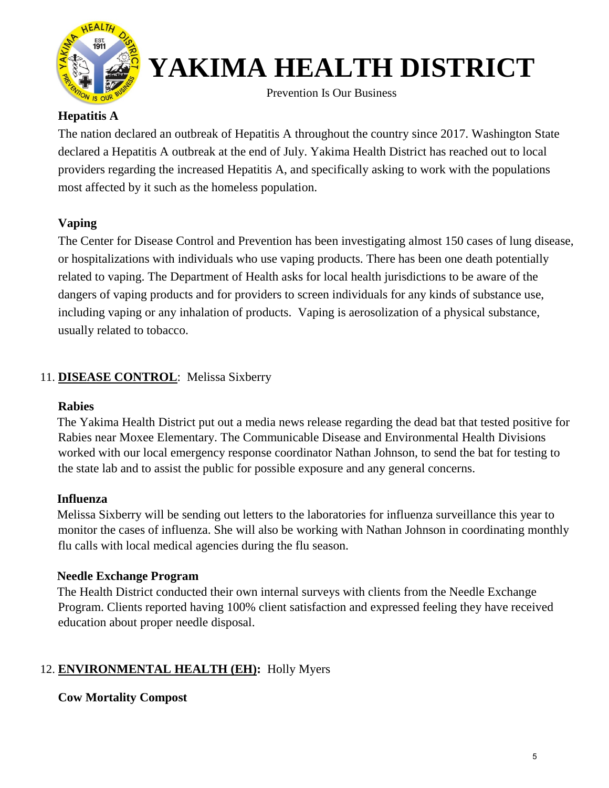

# **YAKIMA HEALTH DISTRICT**<br>Prevention Is Our Business

#### **Hepatitis A**

The nation declared an outbreak of Hepatitis A throughout the country since 2017. Washington State declared a Hepatitis A outbreak at the end of July. Yakima Health District has reached out to local providers regarding the increased Hepatitis A, and specifically asking to work with the populations most affected by it such as the homeless population.

#### **Vaping**

The Center for Disease Control and Prevention has been investigating almost 150 cases of lung disease, or hospitalizations with individuals who use vaping products. There has been one death potentially related to vaping. The Department of Health asks for local health jurisdictions to be aware of the dangers of vaping products and for providers to screen individuals for any kinds of substance use, including vaping or any inhalation of products. Vaping is aerosolization of a physical substance, usually related to tobacco.

#### 11. **DISEASE CONTROL**: Melissa Sixberry

#### **Rabies**

 The Yakima Health District put out a media news release regarding the dead bat that tested positive for Rabies near Moxee Elementary. The Communicable Disease and Environmental Health Divisions worked with our local emergency response coordinator Nathan Johnson, to send the bat for testing to the state lab and to assist the public for possible exposure and any general concerns.

#### **Influenza**

 Melissa Sixberry will be sending out letters to the laboratories for influenza surveillance this year to monitor the cases of influenza. She will also be working with Nathan Johnson in coordinating monthly flu calls with local medical agencies during the flu season.

#### **Needle Exchange Program**

 The Health District conducted their own internal surveys with clients from the Needle Exchange Program. Clients reported having 100% client satisfaction and expressed feeling they have received education about proper needle disposal.

#### 12. **ENVIRONMENTAL HEALTH (EH):** Holly Myers

#### **Cow Mortality Compost**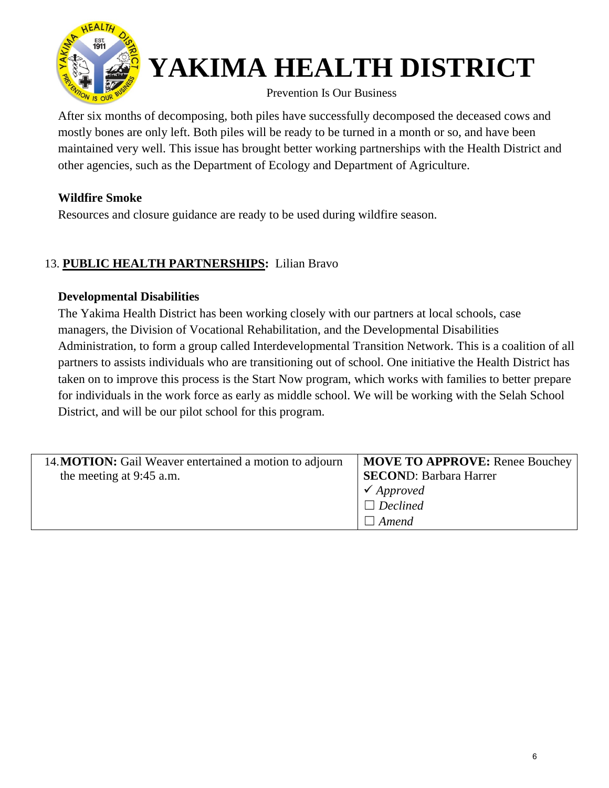

# **YAKIMA HEALTH DISTRICT**<br>Prevention Is Our Business

After six months of decomposing, both piles have successfully decomposed the deceased cows and mostly bones are only left. Both piles will be ready to be turned in a month or so, and have been maintained very well. This issue has brought better working partnerships with the Health District and other agencies, such as the Department of Ecology and Department of Agriculture.

#### **Wildfire Smoke**

Resources and closure guidance are ready to be used during wildfire season.

#### 13. **PUBLIC HEALTH PARTNERSHIPS:** Lilian Bravo

#### **Developmental Disabilities**

The Yakima Health District has been working closely with our partners at local schools, case managers, the Division of Vocational Rehabilitation, and the Developmental Disabilities Administration, to form a group called Interdevelopmental Transition Network. This is a coalition of all partners to assists individuals who are transitioning out of school. One initiative the Health District has taken on to improve this process is the Start Now program, which works with families to better prepare for individuals in the work force as early as middle school. We will be working with the Selah School District, and will be our pilot school for this program.

| 14. MOTION: Gail Weaver entertained a motion to adjourn | <b>MOVE TO APPROVE:</b> Renee Bouchey |
|---------------------------------------------------------|---------------------------------------|
| the meeting at 9:45 a.m.                                | <b>SECOND: Barbara Harrer</b>         |
|                                                         | $\checkmark$ Approved                 |
|                                                         | $\Box$ Declined                       |
|                                                         | Amend                                 |
|                                                         |                                       |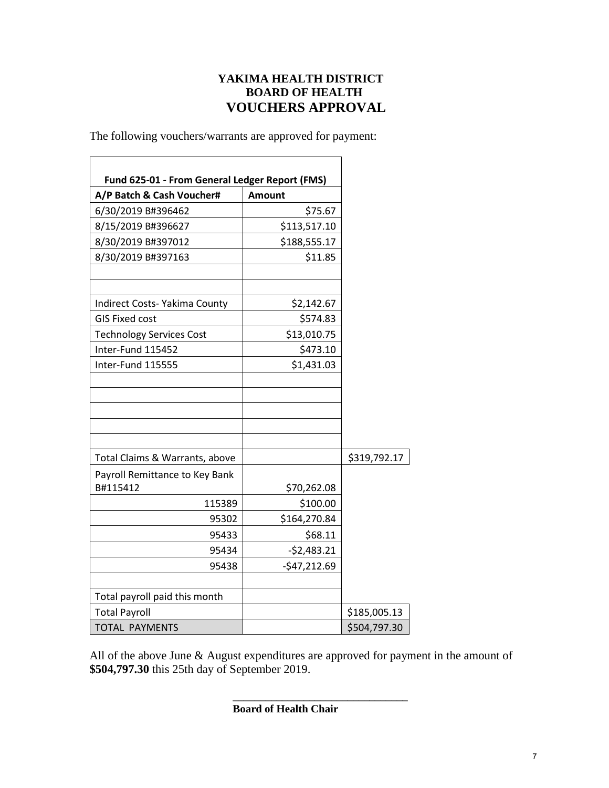#### **YAKIMA HEALTH DISTRICT BOARD OF HEALTH VOUCHERS APPROVAL**

The following vouchers/warrants are approved for payment:

| A/P Batch & Cash Voucher#       | <b>Amount</b> |              |
|---------------------------------|---------------|--------------|
| 6/30/2019 B#396462              | \$75.67       |              |
| 8/15/2019 B#396627              | \$113,517.10  |              |
| 8/30/2019 B#397012              | \$188,555.17  |              |
| 8/30/2019 B#397163              | \$11.85       |              |
| Indirect Costs- Yakima County   | \$2,142.67    |              |
| <b>GIS Fixed cost</b>           | \$574.83      |              |
| <b>Technology Services Cost</b> | \$13,010.75   |              |
| Inter-Fund 115452               | \$473.10      |              |
| Inter-Fund 115555               | \$1,431.03    |              |
|                                 |               |              |
| Total Claims & Warrants, above  |               | \$319,792.17 |
| Payroll Remittance to Key Bank  |               |              |
| B#115412                        | \$70,262.08   |              |
| 115389                          | \$100.00      |              |
| 95302                           | \$164,270.84  |              |
| 95433                           | \$68.11       |              |
| 95434                           | $-52,483.21$  |              |
| 95438                           | $-547,212.69$ |              |
| Total payroll paid this month   |               |              |
| <b>Total Payroll</b>            |               | \$185,005.13 |
| <b>TOTAL PAYMENTS</b>           |               | \$504,797.30 |

All of the above June & August expenditures are approved for payment in the amount of **\$504,797.30** this 25th day of September 2019.

**\_\_\_\_\_\_\_\_\_\_\_\_\_\_\_\_\_\_\_\_\_\_\_\_\_\_\_\_\_\_\_\_**

**Board of Health Chair**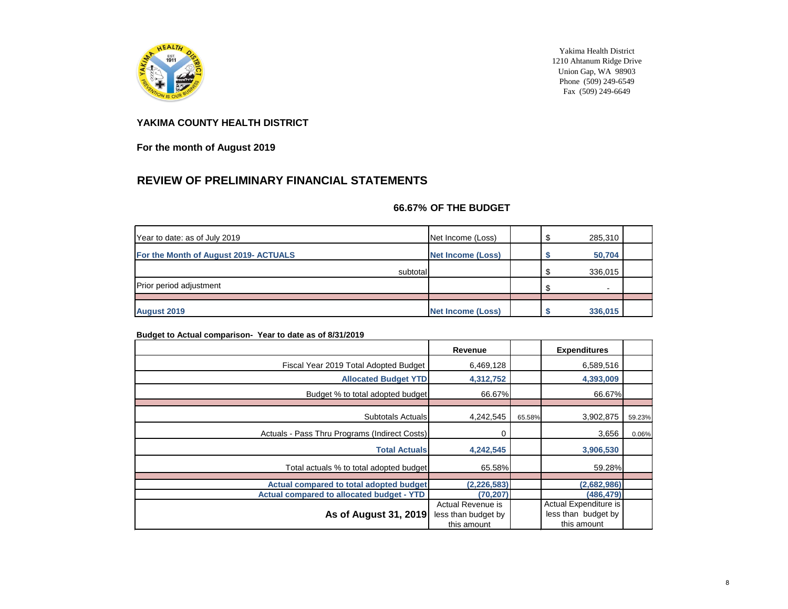

Yakima Health District 1210 Ahtanum Ridge Drive Union Gap, WA 98903 Phone  $(509)$  249-6549 Fax (509) 249-6649

#### **YAKIMA COUNTY HEALTH DISTRICT**

**For the month of August 2019**

#### **REVIEW OF PRELIMINARY FINANCIAL STATEMENTS**

#### **66.67% OF THE BUDGET**

| Year to date: as of July 2019         | Net Income (Loss)        | 285,310 |  |
|---------------------------------------|--------------------------|---------|--|
| For the Month of August 2019- ACTUALS | Net Income (Loss)        | 50,704  |  |
| subtotal                              |                          | 336,015 |  |
| <b>Prior period adjustment</b>        |                          | ۰       |  |
|                                       |                          |         |  |
| <b>August 2019</b>                    | <b>Net Income (Loss)</b> | 336,015 |  |

#### **Budget to Actual comparison- Year to date as of 8/31/2019**

|                                                  | Revenue                                                        |        | <b>Expenditures</b>                                         |        |
|--------------------------------------------------|----------------------------------------------------------------|--------|-------------------------------------------------------------|--------|
| Fiscal Year 2019 Total Adopted Budget            | 6,469,128                                                      |        | 6,589,516                                                   |        |
| <b>Allocated Budget YTD</b>                      | 4,312,752                                                      |        | 4,393,009                                                   |        |
| Budget % to total adopted budget                 | 66.67%                                                         |        | 66.67%                                                      |        |
|                                                  |                                                                |        |                                                             |        |
| <b>Subtotals Actuals</b>                         | 4,242,545                                                      | 65.58% | 3,902,875                                                   | 59.23% |
| Actuals - Pass Thru Programs (Indirect Costs)    | 0                                                              |        | 3,656                                                       | 0.06%  |
| <b>Total Actuals</b>                             | 4,242,545                                                      |        | 3,906,530                                                   |        |
| Total actuals % to total adopted budget          | 65.58%                                                         |        | 59.28%                                                      |        |
|                                                  |                                                                |        |                                                             |        |
| Actual compared to total adopted budget          | (2, 226, 583)                                                  |        | (2,682,986)                                                 |        |
| <b>Actual compared to allocated budget - YTD</b> | (70, 207)                                                      |        | (486, 479)                                                  |        |
| As of August 31, 2019                            | <b>Actual Revenue is</b><br>less than budget by<br>this amount |        | Actual Expenditure is<br>less than budget by<br>this amount |        |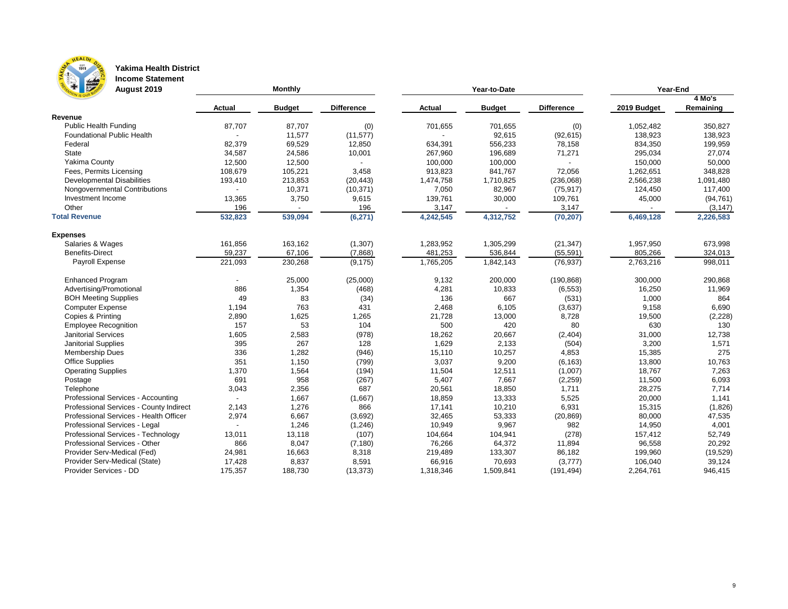

### **Yakima Health District**

**Income Statement**

| F M<br><b>August 2019</b>               |               | Monthly       |                   |               | Year-to-Date  | <b>Year-End</b>   |             |           |  |
|-----------------------------------------|---------------|---------------|-------------------|---------------|---------------|-------------------|-------------|-----------|--|
|                                         |               |               |                   |               |               |                   |             | 4 Mo's    |  |
|                                         | <b>Actual</b> | <b>Budget</b> | <b>Difference</b> | <b>Actual</b> | <b>Budget</b> | <b>Difference</b> | 2019 Budget | Remaining |  |
| Revenue                                 |               |               |                   |               |               |                   |             |           |  |
| <b>Public Health Funding</b>            | 87,707        | 87,707        | (0)               | 701,655       | 701,655       | (0)               | 1,052,482   | 350,827   |  |
| <b>Foundational Public Health</b>       |               | 11,577        | (11, 577)         |               | 92,615        | (92, 615)         | 138,923     | 138,923   |  |
| Federal                                 | 82,379        | 69,529        | 12,850            | 634,391       | 556,233       | 78,158            | 834,350     | 199,959   |  |
| <b>State</b>                            | 34,587        | 24,586        | 10,001            | 267,960       | 196,689       | 71,271            | 295,034     | 27,074    |  |
| Yakima County                           | 12,500        | 12,500        |                   | 100,000       | 100,000       |                   | 150,000     | 50,000    |  |
| Fees, Permits Licensing                 | 108,679       | 105,221       | 3,458             | 913,823       | 841,767       | 72,056            | 1,262,651   | 348,828   |  |
| <b>Developmental Disabilities</b>       | 193,410       | 213,853       | (20, 443)         | 1,474,758     | 1,710,825     | (236,068)         | 2,566,238   | 1,091,480 |  |
| Nongovernmental Contributions           |               | 10,371        | (10, 371)         | 7,050         | 82,967        | (75, 917)         | 124,450     | 117,400   |  |
| Investment Income                       | 13,365        | 3,750         | 9,615             | 139,761       | 30,000        | 109,761           | 45,000      | (94, 761) |  |
| Other                                   | 196           |               | 196               | 3,147         |               | 3,147             |             | (3, 147)  |  |
| <b>Total Revenue</b>                    | 532,823       | 539,094       | (6, 271)          | 4,242,545     | 4,312,752     | (70, 207)         | 6,469,128   | 2,226,583 |  |
| <b>Expenses</b>                         |               |               |                   |               |               |                   |             |           |  |
| Salaries & Wages                        | 161,856       | 163,162       | (1, 307)          | 1,283,952     | 1,305,299     | (21, 347)         | 1,957,950   | 673,998   |  |
| <b>Benefits-Direct</b>                  | 59,237        | 67,106        | (7,868)           | 481,253       | 536,844       | (55, 591)         | 805,266     | 324,013   |  |
| Payroll Expense                         | 221,093       | 230,268       | (9, 175)          | 1,765,205     | 1,842,143     | (76, 937)         | 2,763,216   | 998,011   |  |
| <b>Enhanced Program</b>                 |               | 25,000        | (25,000)          | 9,132         | 200,000       | (190, 868)        | 300,000     | 290,868   |  |
| Advertising/Promotional                 | 886           | 1,354         | (468)             | 4,281         | 10,833        | (6, 553)          | 16,250      | 11,969    |  |
| <b>BOH Meeting Supplies</b>             | 49            | 83            | (34)              | 136           | 667           | (531)             | 1,000       | 864       |  |
| <b>Computer Expense</b>                 | 1,194         | 763           | 431               | 2,468         | 6,105         | (3,637)           | 9,158       | 6,690     |  |
| Copies & Printing                       | 2,890         | 1,625         | 1,265             | 21,728        | 13,000        | 8,728             | 19,500      | (2, 228)  |  |
| <b>Employee Recognition</b>             | 157           | 53            | 104               | 500           | 420           | 80                | 630         | 130       |  |
| <b>Janitorial Services</b>              | 1,605         | 2,583         | (978)             | 18,262        | 20,667        | (2, 404)          | 31,000      | 12,738    |  |
| <b>Janitorial Supplies</b>              | 395           | 267           | 128               | 1,629         | 2,133         | (504)             | 3,200       | 1,571     |  |
| <b>Membership Dues</b>                  | 336           | 1,282         | (946)             | 15,110        | 10,257        | 4,853             | 15,385      | 275       |  |
| <b>Office Supplies</b>                  | 351           | 1,150         | (799)             | 3,037         | 9,200         | (6, 163)          | 13,800      | 10,763    |  |
| <b>Operating Supplies</b>               | 1,370         | 1,564         | (194)             | 11,504        | 12,511        | (1,007)           | 18,767      | 7,263     |  |
| Postage                                 | 691           | 958           | (267)             | 5,407         | 7,667         | (2, 259)          | 11,500      | 6,093     |  |
| Telephone                               | 3,043         | 2,356         | 687               | 20,561        | 18,850        | 1,711             | 28,275      | 7,714     |  |
| Professional Services - Accounting      |               | 1,667         | (1,667)           | 18,859        | 13,333        | 5,525             | 20,000      | 1,141     |  |
| Professional Services - County Indirect | 2,143         | 1,276         | 866               | 17,141        | 10,210        | 6,931             | 15,315      | (1,826)   |  |
| Professional Services - Health Officer  | 2,974         | 6,667         | (3,692)           | 32,465        | 53,333        | (20, 869)         | 80,000      | 47,535    |  |
| Professional Services - Legal           |               | 1,246         | (1,246)           | 10,949        | 9,967         | 982               | 14,950      | 4,001     |  |
| Professional Services - Technology      | 13,011        | 13,118        | (107)             | 104,664       | 104,941       | (278)             | 157,412     | 52,749    |  |
| Professional Services - Other           | 866           | 8,047         | (7, 180)          | 76,266        | 64,372        | 11,894            | 96,558      | 20,292    |  |
| Provider Serv-Medical (Fed)             | 24,981        | 16,663        | 8,318             | 219,489       | 133,307       | 86,182            | 199,960     | (19, 529) |  |
| Provider Serv-Medical (State)           | 17,428        | 8,837         | 8,591             | 66,916        | 70,693        | (3, 777)          | 106,040     | 39,124    |  |
| Provider Services - DD                  | 175,357       | 188,730       | (13, 373)         | 1,318,346     | 1,509,841     | (191, 494)        | 2,264,761   | 946,415   |  |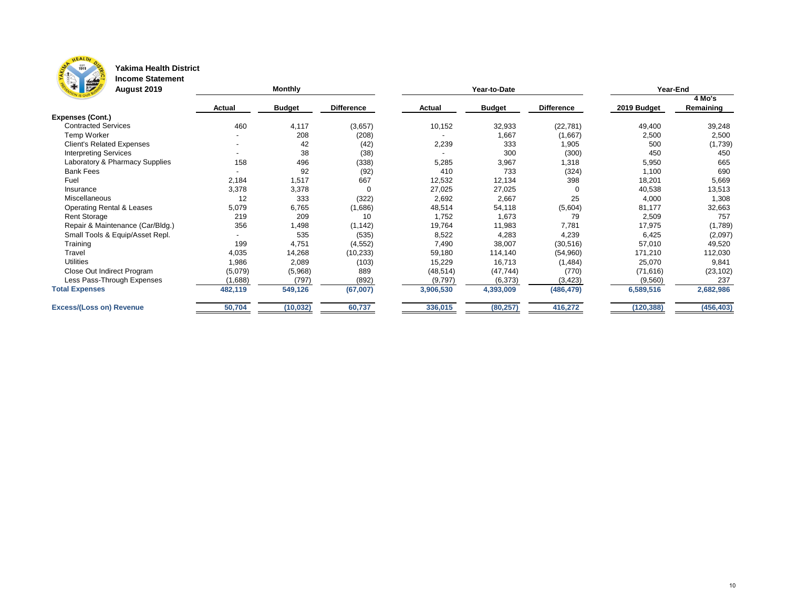

### **Yakima Health District**

**Income Statement**

| <b>THE REAL</b><br><b>August 2019</b> |               | <b>Monthly</b> |                   |               | Year-to-Date  | Year-End          |             |            |  |
|---------------------------------------|---------------|----------------|-------------------|---------------|---------------|-------------------|-------------|------------|--|
|                                       |               |                |                   |               |               |                   |             | 4 Mo's     |  |
|                                       | <b>Actual</b> | <b>Budget</b>  | <b>Difference</b> | <b>Actual</b> | <b>Budget</b> | <b>Difference</b> | 2019 Budget | Remaining  |  |
| <b>Expenses (Cont.)</b>               |               |                |                   |               |               |                   |             |            |  |
| <b>Contracted Services</b>            | 460           | 4,117          | (3,657)           | 10,152        | 32,933        | (22, 781)         | 49,400      | 39,248     |  |
| Temp Worker                           |               | 208            | (208)             |               | 1,667         | (1,667)           | 2,500       | 2,500      |  |
| <b>Client's Related Expenses</b>      | $\sim$        | 42             | (42)              | 2,239         | 333           | 1,905             | 500         | (1,739)    |  |
| <b>Interpreting Services</b>          |               | 38             | (38)              |               | 300           | (300)             | 450         | 450        |  |
| Laboratory & Pharmacy Supplies        | 158           | 496            | (338)             | 5,285         | 3,967         | 1,318             | 5,950       | 665        |  |
| <b>Bank Fees</b>                      |               | 92             | (92)              | 410           | 733           | (324)             | 1,100       | 690        |  |
| Fuel                                  | 2,184         | 1,517          | 667               | 12,532        | 12,134        | 398               | 18,201      | 5,669      |  |
| Insurance                             | 3,378         | 3,378          | 0                 | 27,025        | 27,025        |                   | 40,538      | 13,513     |  |
| <b>Miscellaneous</b>                  | 12            | 333            | (322)             | 2,692         | 2,667         | 25                | 4,000       | 1,308      |  |
| <b>Operating Rental &amp; Leases</b>  | 5,079         | 6,765          | (1,686)           | 48,514        | 54,118        | (5,604)           | 81,177      | 32,663     |  |
| <b>Rent Storage</b>                   | 219           | 209            | 10                | 1,752         | 1,673         | 79                | 2,509       | 757        |  |
| Repair & Maintenance (Car/Bldg.)      | 356           | 1,498          | (1, 142)          | 19,764        | 11,983        | 7,781             | 17,975      | (1,789)    |  |
| Small Tools & Equip/Asset Repl.       |               | 535            | (535)             | 8,522         | 4,283         | 4,239             | 6,425       | (2,097)    |  |
| Training                              | 199           | 4,751          | (4, 552)          | 7,490         | 38,007        | (30, 516)         | 57,010      | 49,520     |  |
| <b>Travel</b>                         | 4,035         | 14,268         | (10, 233)         | 59,180        | 114,140       | (54,960)          | 171,210     | 112,030    |  |
| <b>Utilities</b>                      | 1,986         | 2,089          | (103)             | 15,229        | 16,713        | (1, 484)          | 25,070      | 9,841      |  |
| Close Out Indirect Program            | (5,079)       | (5,968)        | 889               | (48, 514)     | (47, 744)     | (770)             | (71, 616)   | (23, 102)  |  |
| Less Pass-Through Expenses            | (1,688)       | (797)          | (892)             | (9,797)       | (6, 373)      | (3, 423)          | (9, 560)    | 237        |  |
| <b>Total Expenses</b>                 | 482,119       | 549,126        | (67,007)          | 3,906,530     | 4,393,009     | (486, 479)        | 6,589,516   | 2,682,986  |  |
| <b>Excess/(Loss on) Revenue</b>       | 50,704        | (10, 032)      | 60,737            | 336,015       | (80, 257)     | 416,272           | (120, 388)  | (456, 403) |  |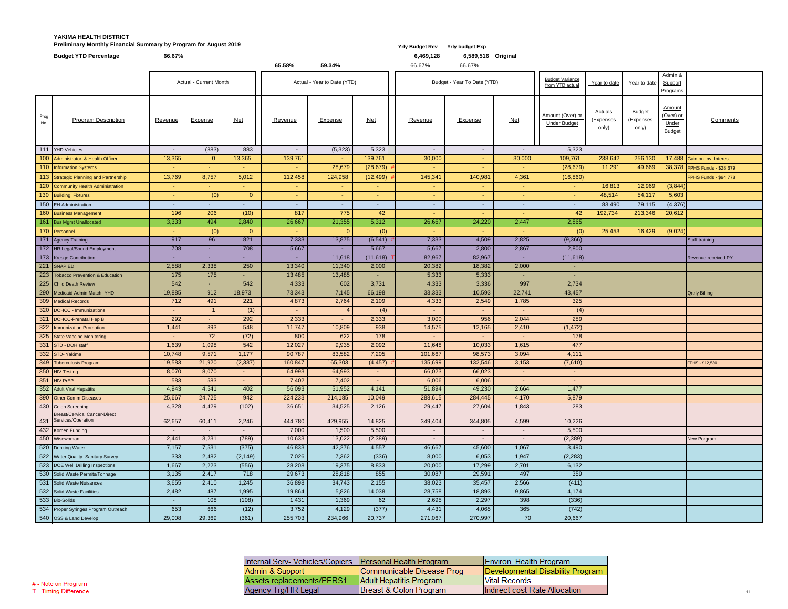### **YAKIMA HEALTH DISTRICT Preliminary Monthly Financial Summary by Program for August 2019 Yrly Budget Rev Yrly budget Exp**

|                                | <b>Budget YTD Percentage</b>                                   | 66.67%          |                             |                | 65.58%                   | 59.34%                      |                         | 6,469,128<br>66.67% | 6,589,516 Original<br>66.67% |              |                                         |                                             |                                     |                                                      |                              |
|--------------------------------|----------------------------------------------------------------|-----------------|-----------------------------|----------------|--------------------------|-----------------------------|-------------------------|---------------------|------------------------------|--------------|-----------------------------------------|---------------------------------------------|-------------------------------------|------------------------------------------------------|------------------------------|
| <b>Actual - Current Month</b>  |                                                                |                 | Actual - Year to Date (YTD) |                |                          | Budget - Year To Date (YTD) |                         |                     | Year to date                 | Year to date | Admin &<br>Support<br>Programs          |                                             |                                     |                                                      |                              |
| $rac{\text{Prog}}{\text{No.}}$ | <b>Program Description</b>                                     | <b>Revenue</b>  | <b>Expense</b>              | $Net$          | Revenue                  | Expense                     | $Net$                   | Revenue             | <b>Expense</b>               | Net          | Amount (Over) or<br><b>Under Budget</b> | <b>Actuals</b><br><u>(Expenses</u><br>only) | <b>Budget</b><br>(Expenses<br>only) | <b>Amount</b><br>(Over) or<br>Under<br><b>Budget</b> | Comments                     |
|                                | 111 YHD Vehicles                                               | $\sim$          | (883)                       | 883            | $\overline{\phantom{a}}$ | (5,323)                     | 5,323                   | $\sim$              | $\sim$                       | $\sim$       | 5,323                                   |                                             |                                     |                                                      |                              |
|                                | 100 Administrator & Health Officer                             | 13,365          | $\overline{0}$              | 13,365         | 139,761                  | $\sim$                      | 139,761                 | 30,000              |                              | 30,000       | 109,761                                 | 238,642                                     | 256,130                             |                                                      | 17,488 Gain on Inv. Interest |
|                                | 110 Information Systems                                        | <b>Section</b>  | $\sim$                      | A.             |                          | 28,679                      | (28, 679)               | $\sim$              | $\sim$                       | ٠.           | (28, 679)                               | 11,291                                      | 49,669                              |                                                      | 38,378 FPHS Funds - \$28,679 |
|                                | 113 Strategic Planning and Partnership                         | 13,769          | 8,757                       | 5,012          | 112,458                  | 124,958                     | (12, 499)               | 145,341             | 140,981                      | 4,361        | (16, 860)                               |                                             |                                     |                                                      | FPHS Funds - \$94,778        |
|                                | 120 Community Health Administration                            | $\sim$          | $\sim$                      | $\sim$         | $\sim$                   | $\sim$                      |                         | $\sim$              | $\sim$                       | $\sim$       | $\sim$                                  | 16,813                                      | 12,969                              | (3,844)                                              |                              |
|                                | 130 Building, Fixtures                                         | and the         | (0)                         | 0 <sup>1</sup> | <b>м.</b>                | $\sim$                      |                         | $\sim$              | $\sim$                       | $\sim$       | $\sim$                                  | 48,514                                      | 54,117                              | 5,603                                                |                              |
|                                | 150 EH Administration                                          | $\sim$          | $\overline{\phantom{a}}$    | $\sim$         | $\sim$                   | $\sim$                      |                         | $\sim$              | $\sim$                       | $\sim$       | $\sim$                                  | 83,490                                      | 79,115                              | (4,376)                                              |                              |
|                                | 160 Business Management                                        | 196             | 206                         | (10)           | 817                      | 775                         | 42                      |                     |                              | ٠.           | 42                                      | 192,734                                     | 213,346                             | 20,612                                               |                              |
|                                | 161 Bus Mgmt Unallocated                                       | 3,333           | 494                         | 2,840          | 26,667                   | 21,355                      | 5,312                   | 26,667              | 24,220                       | 2,447        | 2,865                                   |                                             |                                     |                                                      |                              |
|                                | 170 Personnel                                                  | $\sim$ 10 $\pm$ | (0)                         | 0 <sup>1</sup> | $\sim$                   |                             | (0)                     | $\sim$              | $\sim$                       | $\sim$       | (0)                                     | 25,453                                      | 16,429                              | (9,024)                                              |                              |
|                                | 171 Agency Training                                            | 917             | 96                          | 821            | 7,333                    | 13,875                      | (6, 541)                | 7,333               | 4,509                        | 2,825        | (9,366)                                 |                                             |                                     |                                                      | Staff training               |
|                                | 172 HR Legal/Sound Employment                                  | 708             |                             | 708            | 5,667                    |                             | 5,667                   | 5,667               | 2,800                        | 2,867        | 2,800                                   |                                             |                                     |                                                      |                              |
|                                | 173 Kresge Contribution                                        | $\sim 10$       |                             | $\sim$         |                          | 11,618                      | $(11,618)$ <sup>-</sup> | 82,967              | 82,967                       | ٠.           | (11,618)                                |                                             |                                     |                                                      | Revenue received PY          |
|                                | 221 SNAP ED                                                    | 2,588           | 2,338                       | 250            | 13,340                   | 11,340                      | 2,000                   | 20,382              | 18,382                       | 2,000        | ÷                                       |                                             |                                     |                                                      |                              |
|                                | 223 Tobacco Prevention & Education                             | 175             | 175                         |                | 13,485                   | 13,485                      |                         | 5,333               | 5,333                        | ۰.           | $\sim$                                  |                                             |                                     |                                                      |                              |
|                                | 225 Child Death Review                                         | 542             |                             | 542            | 4,333                    | 602                         | 3,731                   | 4,333               | 3,336                        | 997          | 2,734                                   |                                             |                                     |                                                      |                              |
|                                | 290 Medicaid Admin Match-YHD                                   | 19,885          | 912                         | 18,973         | 73,343                   | 7,145                       | 66,198                  | 33,333              | 10,593                       | 22,741       | 43,457                                  |                                             |                                     |                                                      | <b>Qrtrly Billing</b>        |
|                                | 309 Medical Records                                            | 712             | 491                         | 221            | 4,873                    | 2,764                       | 2,109                   | 4,333               | 2,549                        | 1,785        | 325                                     |                                             |                                     |                                                      |                              |
|                                | 320 DOHCC - Immunizations                                      | $\sim$ $-$      |                             | (1)            |                          |                             | (4)                     | ۰.                  |                              | ۰.           | (4)                                     |                                             |                                     |                                                      |                              |
|                                | 321 DOHCC-Prenatal Hep B                                       | 292             |                             | 292            | 2,333                    | $\blacksquare$              | 2,333                   | 3,000               | 956                          | 2,044        | 289                                     |                                             |                                     |                                                      |                              |
|                                | 322   Immunization Promotion                                   | 1,441           | 893                         | 548            | 11,747                   | 10,809                      | 938                     | 14,575              | 12,165                       | 2,410        | (1, 472)                                |                                             |                                     |                                                      |                              |
|                                | 325 State Vaccine Monitoring                                   | $\sim$ $-$      | 72                          | (72)           | 800                      | 622                         | 178                     | $\sim$              | $\sim$                       | $\sim$       | 178                                     |                                             |                                     |                                                      |                              |
|                                | 331 STD - DOH staff                                            | 1,639           | 1,098                       | 542            | 12,027                   | 9,935                       | 2,092                   | 11,648              | 10,033                       | 1,615        | 477                                     |                                             |                                     |                                                      |                              |
|                                | 332 STD-Yakima                                                 | 10,748          | 9,571                       | 1,177          | 90,787                   | 83,582                      | 7,205                   | 101,667             | 98,573                       | 3,094        | 4,111                                   |                                             |                                     |                                                      |                              |
|                                | 349 Tuberculosis Program                                       | 19,583          | 21,920                      | (2,337)        | 160,847                  | 165,303                     | (4, 457)                | 135,699             | 132,546                      | 3,153        | (7,610)                                 |                                             |                                     |                                                      | FPHS - \$12,530              |
|                                | 350 HIV Testing                                                | 8,070           | 8,070                       | $\sim$         | 64,993                   | 64,993                      |                         | 66,023              | 66,023                       | ۰.           | $\blacksquare$                          |                                             |                                     |                                                      |                              |
|                                | 351 HIV PrEP                                                   | 583             | 583                         | $\sim$         | 7,402                    | 7,402                       |                         | 6,006               | 6,006                        | $\sim$       | $\sim$                                  |                                             |                                     |                                                      |                              |
|                                | 352 Adult Viral Hepatitis                                      | 4,943           | 4,541                       | 402            | 56,093                   | 51,952                      | 4,141                   | 51,894              | 49,230                       | 2,664        | 1,477                                   |                                             |                                     |                                                      |                              |
|                                | 390 Other Comm Diseases                                        | 25,667          | 24,725                      | 942            | 224,233                  | 214,185                     | 10,049                  | 288,615             | 284,445                      | 4,170        | 5,879                                   |                                             |                                     |                                                      |                              |
|                                | 430 Colon Screening                                            | 4,328           | 4,429                       | (102)          | 36,651                   | 34,525                      | 2,126                   | 29,447              | 27,604                       | 1,843        | 283                                     |                                             |                                     |                                                      |                              |
|                                | <b>Breast/Cervical Cancer-Direct</b><br>431 Services/Operation | 62,657          | 60,411                      | 2,246          | 444,780                  | 429,955                     | 14,825                  | 349,404             | 344,805                      | 4,599        | 10,226                                  |                                             |                                     |                                                      |                              |
|                                | 432 Komen Funding                                              |                 |                             | $\sim$         | 7,000                    | 1,500                       | 5,500                   | ۰.                  | $\sim$                       | $\sim$       | 5,500                                   |                                             |                                     |                                                      |                              |
|                                | 450 Wisewoman                                                  | 2,441           | 3,231                       | (789)          | 10,633                   | 13,022                      | (2,389)                 | $\sim$              | $\sim$                       | ۰.           | (2,389)                                 |                                             |                                     |                                                      | New Porgram                  |
|                                | 520 Drinking Water                                             | 7,157           | 7,531                       | (375)          | 46,833                   | 42,276                      | 4,557                   | 46,667              | 45,600                       | 1,067        | 3,490                                   |                                             |                                     |                                                      |                              |
|                                | 522 Water Quality- Sanitary Survey                             | 333             | 2,482                       | (2, 149)       | 7,026                    | 7,362                       | (336)                   | 8,000               | 6,053                        | 1,947        | (2, 283)                                |                                             |                                     |                                                      |                              |
|                                | 523 DOE Well Drilling Inspections                              | 1,667           | 2,223                       | (556)          | 28,208                   | 19,375                      | 8,833                   | 20,000              | 17,299                       | 2,701        | 6,132                                   |                                             |                                     |                                                      |                              |
|                                | 530 Solid Waste Permits/Tonnage                                | 3,135           | 2,417                       | 718            | 29,673                   | 28,818                      | 855                     | 30,087              | 29,591                       | 497          | 359                                     |                                             |                                     |                                                      |                              |
|                                | 531 Solid Waste Nuisances                                      | 3,655           | 2,410                       | 1,245          | 36,898                   | 34,743                      | 2,155                   | 38,023              | 35,457                       | 2,566        | (411)                                   |                                             |                                     |                                                      |                              |
|                                | 532 Solid Waste Facilities                                     | 2,482           | 487                         | 1,995          | 19,864                   | 5,826                       | 14,038                  | 28,758              | 18,893                       | 9,865        | 4,174                                   |                                             |                                     |                                                      |                              |
|                                | 533 Bio-Solids                                                 |                 | 108                         | (108)          | 1,431                    | 1,369                       | 62                      | 2,695               | 2,297                        | 398          | (336)                                   |                                             |                                     |                                                      |                              |
|                                | 534 Proper Syringes Program Outreach                           | 653             | 666                         | (12)           | 3,752                    | 4,129                       | (377)                   | 4,431               | 4,065                        | 365          | (742)                                   |                                             |                                     |                                                      |                              |
|                                | 540 OSS & Land Develop                                         |                 |                             |                |                          |                             |                         |                     | 271,067 270,997              | 70           | 20,667                                  |                                             |                                     |                                                      |                              |

| Internal Serv- Vehicles/Copiers   Personal Health Program |                           |
|-----------------------------------------------------------|---------------------------|
| Admin & Support                                           | Communicable Disease Prog |
| Assets replacements/PERS1                                 | Adult Hepatitis Program   |
| Agency Trg/HR Legal                                       | Breast & Colon Program    |

| Environ. Health Program          |
|----------------------------------|
| Developmental Disability Program |
| Vital Records                    |
| Indirect cost Rate Allocation    |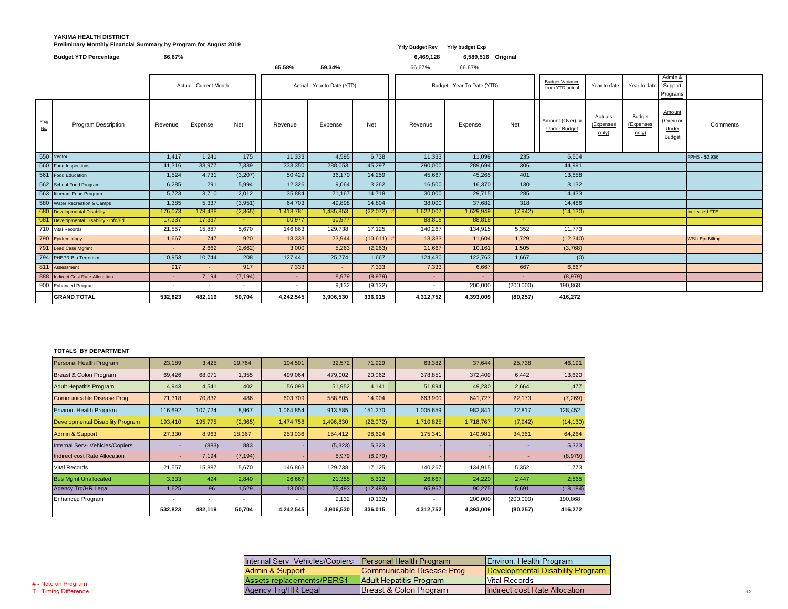### **YAKIMA HEALTH DISTRICT Preliminary Monthly Financial Summary by Program for August 2019** *Yrly Budget Rev**Yrly Budget Rev**Yrly budget Exp*

|                                | <b>Budget YTD Percentage</b>           | 66.67%  |                               |                 |            |                             |          | 6,469,128       | 6,589,516 Original          |                 |                                           |                                      |                                     |                                               |                        |
|--------------------------------|----------------------------------------|---------|-------------------------------|-----------------|------------|-----------------------------|----------|-----------------|-----------------------------|-----------------|-------------------------------------------|--------------------------------------|-------------------------------------|-----------------------------------------------|------------------------|
|                                |                                        |         |                               |                 | 65.58%     | 59.34%                      |          | 66.67%          | 66.67%                      |                 |                                           |                                      |                                     |                                               |                        |
|                                |                                        |         | <b>Actual - Current Month</b> |                 |            | Actual - Year to Date (YTD) |          |                 | Budget - Year To Date (YTD) |                 | <b>Budget Variance</b><br>from YTD actual | Year to date                         | Year to date                        | Admin &<br>Support<br>Programs                |                        |
| $rac{\text{Prog}}{\text{No.}}$ | <b>Program Description</b>             | Revenue | <b>Expense</b>                | <u>Net</u>      | Revenue    | <b>Expense</b>              | $Net$    | Revenue         | <b>Expense</b>              | <u>Net</u>      | Amount (Over) or<br><b>Under Budget</b>   | <b>Actuals</b><br>(Expenses<br>only) | <b>Budget</b><br>(Expenses<br>only) | Amount<br>(Over) or<br>Under<br><b>Budget</b> | Comments               |
|                                | 550 Vector                             | 1,417   | 1,241                         | 175             | 11,333     | 4,595                       | 6,738    | 11,333          | 11,099                      | 235             | 6,504                                     |                                      |                                     |                                               | FPHS - \$2,936         |
|                                | 560 Food Inspections                   | 41,316  | 33,977                        | 7,339           | 333,350    | 288,053                     | 45,297   | 290,000         | 289,694                     | 306             | 44,991                                    |                                      |                                     |                                               |                        |
| 561                            | Food Education                         | 1,524   | 4,731                         | (3,207)         | 50,429     | 36,170                      | 14,259   | 45,667          | 45,265                      | 401             | 13,858                                    |                                      |                                     |                                               |                        |
|                                | 562 School Food Program                | 6,285   | 291                           | 5,994           | 12,326     | 9,064                       | 3,262    | 16,500          | 16,370                      | 130             | 3,132                                     |                                      |                                     |                                               |                        |
|                                | 563 Itinerant Food Program             | 5,723   | 3,710                         | 2,012           | 35,884     | 21,167                      | 14,718   | 30,000          | 29,715                      | 285             | 14,433                                    |                                      |                                     |                                               |                        |
|                                | 580 Water Recreation & Camps           | 1,385   | 5,337                         | (3,951)         | 64,703     | 49,898                      | 14,804   | 38,000          | 37,682                      | 318             | 14,486                                    |                                      |                                     |                                               |                        |
|                                | 680 Developmental Disability           | 176,073 | 178,438                       | (2,365)         | 1,413,781  | 1,435,853                   | (22,072) | 1,622,007       | 1,629,949                   | (7, 942)        | (14, 130)                                 |                                      |                                     |                                               | <b>Increased FTE</b>   |
|                                | 681 Developmental Disability - Info/Ed | 17,337  | 17,337                        | $\sim$ 10 $\pm$ | 60,977     | 60,977                      | $\sim$   | 88,818          | 88,818                      | $\sim$ 10 $\pm$ | $\sim$                                    |                                      |                                     |                                               |                        |
|                                | 710 Vital Records                      | 21,557  | 15,887                        | 5,670           | 146,863    | 129,738                     | 17,125   | 140,267         | 134,915                     | 5,352           | 11,773                                    |                                      |                                     |                                               |                        |
|                                | 790 Epidemiology                       | 1,667   | 747                           | 920             | 13,333     | 23,944                      | (10,611) | 13,333          | 11,604                      | 1,729           | (12, 340)                                 |                                      |                                     |                                               | <b>WSU Epi Billing</b> |
|                                | 791 Lead Case Mgmnt                    | $\sim$  | 2,662                         | (2,662)         | 3,000      | 5,263                       | (2,263)  | 11,667          | 10,161                      | 1,505           | (3,768)                                   |                                      |                                     |                                               |                        |
|                                | 794 PHEPR-Bio Terrorism                | 10,953  | 10,744                        | 208             | 127,441    | 125,774                     | 1,667    | 124,430         | 122,763                     | 1,667           | (0)                                       |                                      |                                     |                                               |                        |
|                                | 811 Assessment                         | 917     |                               | 917             | 7,333      | $\sim$                      | 7,333    | 7,333           | 6,667                       | 667             | 6,667                                     |                                      |                                     |                                               |                        |
|                                | 888 Indirect Cost Rate Allocation      | $\sim$  | 7,194                         | (7, 194)        | $\sim$ $-$ | 8,979                       | (8,979)  | $\sim$ 10 $\pm$ | $\sim 10$                   | $\sim$          | (8,979)                                   |                                      |                                     |                                               |                        |
|                                | 900 Enhanced Program                   | $\sim$  | $\overline{\phantom{0}}$      | $\sim$          |            | 9,132                       | (9, 132) |                 | 200,000                     | (200,000)       | 190,868                                   |                                      |                                     |                                               |                        |
|                                | <b>GRAND TOTAL</b>                     | 532,823 | 482,119                       | 50,704          | 4,242,545  | 3,906,530                   | 336,015  | 4,312,752       | 4,393,009                   | (80, 257)       | 416,272                                   |                                      |                                     |                                               |                        |

#### **TOTALS BY DEPARTMENT**

| Personal Health Program                 | 23,189                   | 3,425          | 19,764   | 104,501                  | 32,572    | 71,929    | 63,382    | 37,644    | 25,738    | 46,191    |
|-----------------------------------------|--------------------------|----------------|----------|--------------------------|-----------|-----------|-----------|-----------|-----------|-----------|
| Breast & Colon Program                  | 69,426                   | 68,071         | 1,355    | 499,064                  | 479,002   | 20,062    | 378,851   | 372,409   | 6,442     | 13,620    |
| <b>Adult Hepatitis Program</b>          | 4,943                    | 4,541          | 402      | 56,093                   | 51,952    | 4,141     | 51,894    | 49,230    | 2,664     | 1,477     |
| Communicable Disease Prog               | 71,318                   | 70,832         | 486      | 603,709                  | 588,805   | 14,904    | 663,900   | 641,727   | 22,173    | (7,269)   |
| Environ. Health Program                 | 116,692                  | 107,724        | 8,967    | 1,064,854                | 913,585   | 151,270   | 1,005,659 | 982,841   | 22,817    | 128,452   |
| <b>Developmental Disability Program</b> | 193,410                  | 195,775        | (2, 365) | 1,474,758                | 1,496,830 | (22,072)  | 1,710,825 | 1,718,767 | (7, 942)  | (14, 130) |
| <b>Admin &amp; Support</b>              | 27,330                   | 8,963          | 18,367   | 253,036                  | 154,412   | 98,624    | 175,341   | 140,981   | 34,361    | 64,264    |
| Internal Serv- Vehicles/Copiers         |                          | (883)          | 883      |                          | (5,323)   | 5,323     |           |           |           | 5,323     |
| Indirect cost Rate Allocation           |                          | 7,194          | (7, 194) |                          | 8,979     | (8,979)   |           |           |           | (8,979)   |
| <b>Vital Records</b>                    | 21,557                   | 15,887         | 5,670    | 146,863                  | 129,738   | 17,125    | 140,267   | 134,915   | 5,352     | 11,773    |
| <b>Bus Mgmt Unallocated</b>             | 3,333                    | 494            | 2,840    | 26,667                   | 21,355    | 5,312     | 26,667    | 24,220    | 2,447     | 2,865     |
| <b>Agency Trg/HR Legal</b>              | 1,625                    | 96             | 1,529    | 13,000                   | 25,493    | (12, 493) | 95,967    | 90,275    | 5,691     | (18, 184) |
| <b>Enhanced Program</b>                 | $\overline{\phantom{a}}$ | $\blacksquare$ | ۰        | $\overline{\phantom{a}}$ | 9,132     | (9, 132)  |           | 200,000   | (200,000) | 190,868   |
|                                         | 532,823                  | 482,119        | 50,704   | 4,242,545                | 3,906,530 | 336,015   | 4,312,752 | 4,393,009 | (80, 257) | 416,272   |

| Internal Serv- Vehicles/Copiers   Personal Health Program |                           | Environ. Health Program          |
|-----------------------------------------------------------|---------------------------|----------------------------------|
| Admin & Support                                           | Communicable Disease Prog | Developmental Disability Program |
| Assets replacements/PERS1                                 | Adult Hepatitis Program   | <b>Vital Records</b>             |
| Agency Trg/HR Legal                                       | Breast & Colon Program    | Indirect cost Rate Allocation    |